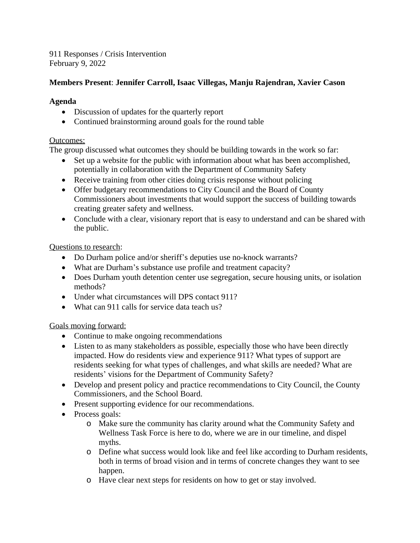911 Responses / Crisis Intervention February 9, 2022

## **Members Present**: **Jennifer Carroll, Isaac Villegas, Manju Rajendran, Xavier Cason**

# **Agenda**

- Discussion of updates for the quarterly report
- Continued brainstorming around goals for the round table

## Outcomes:

The group discussed what outcomes they should be building towards in the work so far:

- Set up a website for the public with information about what has been accomplished, potentially in collaboration with the Department of Community Safety
- Receive training from other cities doing crisis response without policing
- Offer budgetary recommendations to City Council and the Board of County Commissioners about investments that would support the success of building towards creating greater safety and wellness.
- Conclude with a clear, visionary report that is easy to understand and can be shared with the public.

Questions to research:

- Do Durham police and/or sheriff's deputies use no-knock warrants?
- What are Durham's substance use profile and treatment capacity?
- Does Durham youth detention center use segregation, secure housing units, or isolation methods?
- Under what circumstances will DPS contact 911?
- What can 911 calls for service data teach us?

Goals moving forward:

- Continue to make ongoing recommendations
- Listen to as many stakeholders as possible, especially those who have been directly impacted. How do residents view and experience 911? What types of support are residents seeking for what types of challenges, and what skills are needed? What are residents' visions for the Department of Community Safety?
- Develop and present policy and practice recommendations to City Council, the County Commissioners, and the School Board.
- Present supporting evidence for our recommendations.
- Process goals:
	- o Make sure the community has clarity around what the Community Safety and Wellness Task Force is here to do, where we are in our timeline, and dispel myths.
	- o Define what success would look like and feel like according to Durham residents, both in terms of broad vision and in terms of concrete changes they want to see happen.
	- o Have clear next steps for residents on how to get or stay involved.